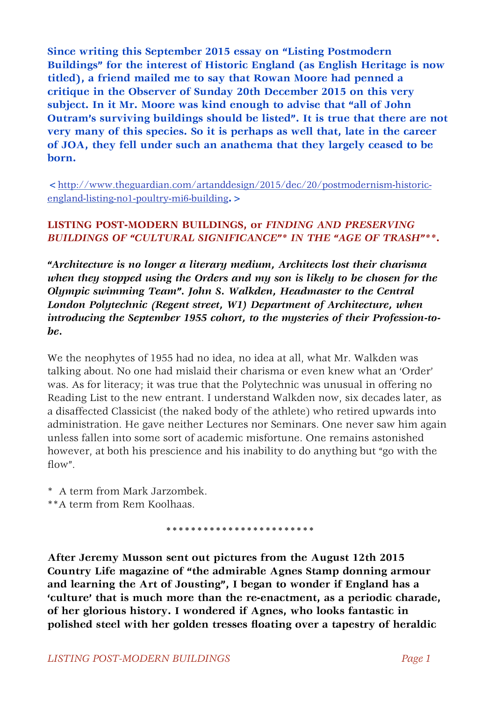**Since writing this September 2015 essay on "Listing Postmodern Buildings" for the interest of Historic England (as English Heritage is now titled), a friend mailed me to say that Rowan Moore had penned a critique in the Observer of Sunday 20th December 2015 on this very subject. In it Mr. Moore was kind enough to advise that "all of John Outram's surviving buildings should be listed". It is true that there are not very many of this species. So it is perhaps as well that, late in the career of JOA, they fell under such an anathema that they largely ceased to be born.**

**<**[http://www.theguardian.com/artanddesign/2015/dec/20/postmodernism-historic](http://www.theguardian.com/artanddesign/2015/dec/20/postmodernism-historic-england-listing-no1-poultry-mi6-building)[england-listing-no1-poultry-mi6-building](http://www.theguardian.com/artanddesign/2015/dec/20/postmodernism-historic-england-listing-no1-poultry-mi6-building)**.>**

## **LISTING POST-MODERN BUILDINGS, or** *FINDING AND PRESERVING BUILDINGS OF "CULTURAL SIGNIFICANCE"\* IN THE "AGE OF TRASH"\*\****.**

*"Architecture is no longer a literary medium, Architects lost their charisma when they stopped using the Orders and my son is likely to be chosen for the Olympic swimming Team". John S. Walkden, Headmaster to the Central London Polytechnic (Regent street, W1) Department of Architecture, when introducing the September 1955 cohort, to the mysteries of their Profession-tobe.*

We the neophytes of 1955 had no idea, no idea at all, what Mr. Walkden was talking about. No one had mislaid their charisma or even knew what an 'Order' was. As for literacy; it was true that the Polytechnic was unusual in offering no Reading List to the new entrant. I understand Walkden now, six decades later, as a disaffected Classicist (the naked body of the athlete) who retired upwards into administration. He gave neither Lectures nor Seminars. One never saw him again unless fallen into some sort of academic misfortune. One remains astonished however, at both his prescience and his inability to do anything but "go with the flow".

\* A term from Mark Jarzombek.

\*\*A term from Rem Koolhaas.

 **\*\*\*\*\*\*\*\*\*\*\*\*\*\*\*\*\*\*\*\*\*\*\*\***

**After Jeremy Musson sent out pictures from the August 12th 2015 Country Life magazine of "the admirable Agnes Stamp donning armour and learning the Art of Jousting", I began to wonder if England has a 'culture' that is much more than the re-enactment, as a periodic charade, of her glorious history. I wondered if Agnes, who looks fantastic in polished steel with her golden tresses floating over a tapestry of heraldic**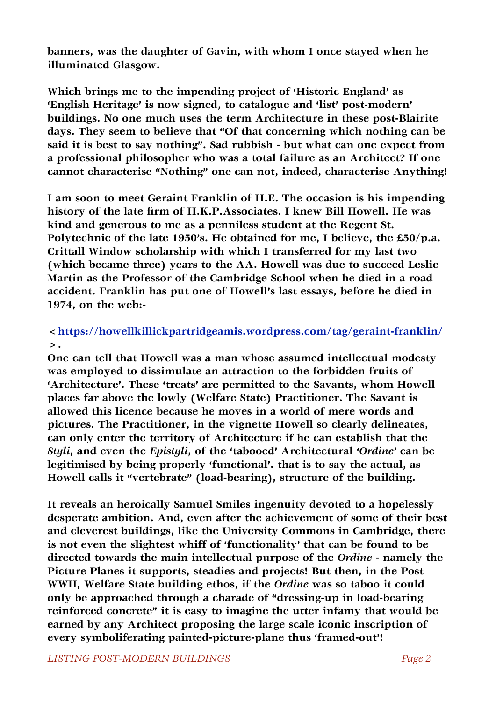**banners, was the daughter of Gavin, with whom I once stayed when he illuminated Glasgow.** 

**Which brings me to the impending project of 'Historic England' as 'English Heritage' is now signed, to catalogue and 'list' post-modern' buildings. No one much uses the term Architecture in these post-Blairite days. They seem to believe that "Of that concerning which nothing can be said it is best to say nothing". Sad rubbish - but what can one expect from a professional philosopher who was a total failure as an Architect? If one cannot characterise "Nothing" one can not, indeed, characterise Anything!**

**I am soon to meet Geraint Franklin of H.E. The occasion is his impending history of the late firm of H.K.P.Associates. I knew Bill Howell. He was kind and generous to me as a penniless student at the Regent St. Polytechnic of the late 1950's. He obtained for me, I believe, the £50/p.a. Crittall Window scholarship with which I transferred for my last two (which became three) years to the AA. Howell was due to succeed Leslie Martin as the Professor of the Cambridge School when he died in a road accident. Franklin has put one of Howell's last essays, before he died in 1974, on the web:-**

## **[<https://howellkillickpartridgeamis.wordpress.com/tag/geraint-franklin/](https://howellkillickpartridgeamis.wordpress.com/tag/geraint-franklin/) >.**

**One can tell that Howell was a man whose assumed intellectual modesty was employed to dissimulate an attraction to the forbidden fruits of 'Architecture'. These 'treats' are permitted to the Savants, whom Howell places far above the lowly (Welfare State) Practitioner. The Savant is allowed this licence because he moves in a world of mere words and pictures. The Practitioner, in the vignette Howell so clearly delineates, can only enter the territory of Architecture if he can establish that the**  *Styli***, and even the** *Epistyli***, of the 'tabooed' Architectural** *'Ordine'* **can be legitimised by being properly 'functional'. that is to say the actual, as Howell calls it "vertebrate" (load-bearing), structure of the building.**

**It reveals an heroically Samuel Smiles ingenuity devoted to a hopelessly desperate ambition. And, even after the achievement of some of their best and cleverest buildings, like the University Commons in Cambridge, there is not even the slightest whiff of 'functionality' that can be found to be directed towards the main intellectual purpose of the** *Ordine* **- namely the Picture Planes it supports, steadies and projects! But then, in the Post WWII, Welfare State building ethos, if the** *Ordine* **was so taboo it could only be approached through a charade of "dressing-up in load-bearing reinforced concrete" it is easy to imagine the utter infamy that would be earned by any Architect proposing the large scale iconic inscription of every symboliferating painted-picture-plane thus 'framed-out'!**

*LISTING POST-MODERN BUILDINGS**Page 2*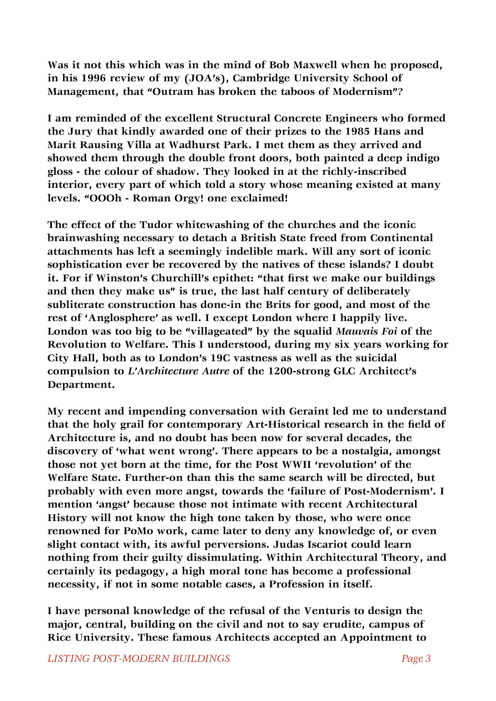**Was it not this which was in the mind of Bob Maxwell when he proposed, in his 1996 review of my (JOA's), Cambridge University School of Management, that "Outram has broken the taboos of Modernism"?**

**I am reminded of the excellent Structural Concrete Engineers who formed the Jury that kindly awarded one of their prizes to the 1985 Hans and Marit Rausing Villa at Wadhurst Park. I met them as they arrived and showed them through the double front doors, both painted a deep indigo gloss - the colour of shadow. They looked in at the richly-inscribed interior, every part of which told a story whose meaning existed at many levels. "OOOh - Roman Orgy! one exclaimed!**

**The effect of the Tudor whitewashing of the churches and the iconic brainwashing necessary to detach a British State freed from Continental attachments has left a seemingly indelible mark. Will any sort of iconic sophistication ever be recovered by the natives of these islands? I doubt it. For if Winston's Churchill's epithet: "that first we make our buildings and then they make us" is true, the last half century of deliberately subliterate construction has done-in the Brits for good, and most of the rest of 'Anglosphere' as well. I except London where I happily live. London was too big to be "villageated" by the squalid** *Mauvais Foi* **of the Revolution to Welfare. This I understood, during my six years working for City Hall, both as to London's 19C vastness as well as the suicidal compulsion to** *L'Architecture Autre* **of the 1200-strong GLC Architect's Department.**

**My recent and impending conversation with Geraint led me to understand that the holy grail for contemporary Art-Historical research in the field of Architecture is, and no doubt has been now for several decades, the discovery of 'what went wrong'. There appears to be a nostalgia, amongst those not yet born at the time, for the Post WWII 'revolution' of the Welfare State. Further-on than this the same search will be directed, but probably with even more angst, towards the 'failure of Post-Modernism'. I mention 'angst' because those not intimate with recent Architectural History will not know the high tone taken by those, who were once renowned for PoMo work, came later to deny any knowledge of, or even slight contact with, its awful perversions. Judas Iscariot could learn nothing from their guilty dissimulating. Within Architectural Theory, and certainly its pedagogy, a high moral tone has become a professional necessity, if not in some notable cases, a Profession in itself.**

**I have personal knowledge of the refusal of the Venturis to design the major, central, building on the civil and not to say erudite, campus of Rice University. These famous Architects accepted an Appointment to**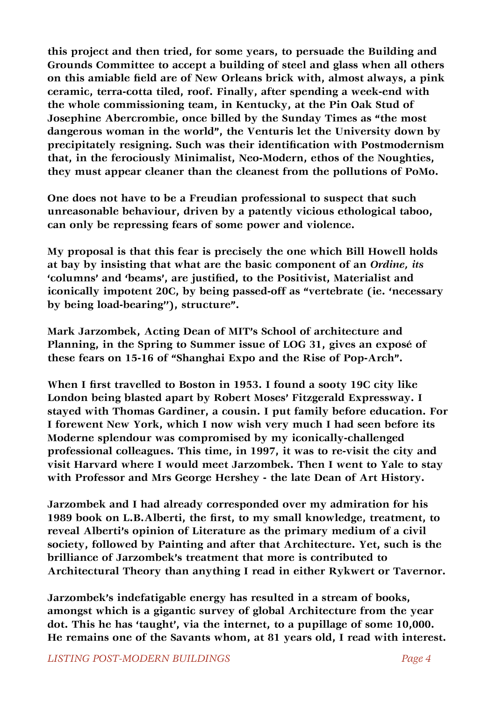**this project and then tried, for some years, to persuade the Building and Grounds Committee to accept a building of steel and glass when all others on this amiable field are of New Orleans brick with, almost always, a pink ceramic, terra-cotta tiled, roof. Finally, after spending a week-end with the whole commissioning team, in Kentucky, at the Pin Oak Stud of Josephine Abercrombie, once billed by the Sunday Times as "the most dangerous woman in the world", the Venturis let the University down by precipitately resigning. Such was their identification with Postmodernism that, in the ferociously Minimalist, Neo-Modern, ethos of the Noughties, they must appear cleaner than the cleanest from the pollutions of PoMo.**

**One does not have to be a Freudian professional to suspect that such unreasonable behaviour, driven by a patently vicious ethological taboo, can only be repressing fears of some power and violence.**

**My proposal is that this fear is precisely the one which Bill Howell holds at bay by insisting that what are the basic component of an** *Ordine, its*  **'columns' and 'beams', are justified, to the Positivist, Materialist and iconically impotent 20C, by being passed-off as "vertebrate (ie. 'necessary by being load-bearing''), structure".**

**Mark Jarzombek, Acting Dean of MIT's School of architecture and Planning, in the Spring to Summer issue of LOG 31, gives an exposé of these fears on 15-16 of "Shanghai Expo and the Rise of Pop-Arch".**

**When I first travelled to Boston in 1953. I found a sooty 19C city like London being blasted apart by Robert Moses' Fitzgerald Expressway. I stayed with Thomas Gardiner, a cousin. I put family before education. For I forewent New York, which I now wish very much I had seen before its Moderne splendour was compromised by my iconically-challenged professional colleagues. This time, in 1997, it was to re-visit the city and visit Harvard where I would meet Jarzombek. Then I went to Yale to stay with Professor and Mrs George Hershey - the late Dean of Art History.** 

**Jarzombek and I had already corresponded over my admiration for his 1989 book on L.B.Alberti, the first, to my small knowledge, treatment, to reveal Alberti's opinion of Literature as the primary medium of a civil society, followed by Painting and after that Architecture. Yet, such is the brilliance of Jarzombek's treatment that more is contributed to Architectural Theory than anything I read in either Rykwert or Tavernor.**

**Jarzombek's indefatigable energy has resulted in a stream of books, amongst which is a gigantic survey of global Architecture from the year dot. This he has 'taught', via the internet, to a pupillage of some 10,000. He remains one of the Savants whom, at 81 years old, I read with interest.**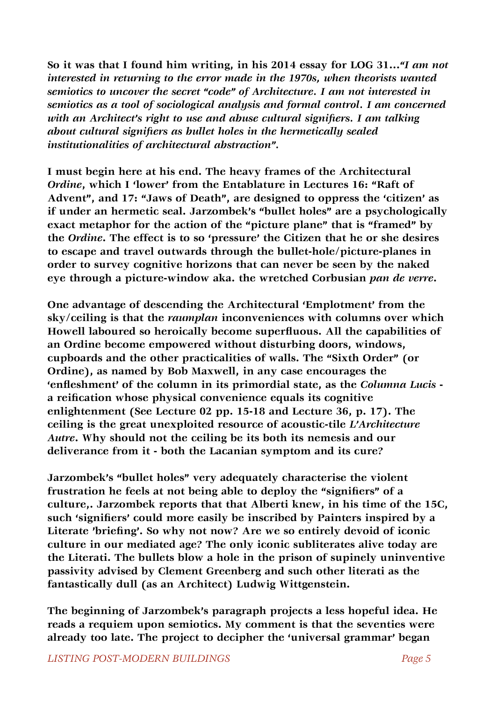**So it was that I found him writing, in his 2014 essay for LOG 31...***"I am not interested in returning to the error made in the 1970s, when theorists wanted semiotics to uncover the secret "code" of Architecture. I am not interested in semiotics as a tool of sociological analysis and formal control. I am concerned with an Architect's right to use and abuse cultural signifiers. I am talking about cultural signifiers as bullet holes in the hermetically sealed institutionalities of architectural abstraction".*

**I must begin here at his end. The heavy frames of the Architectural**  *Ordine***, which I 'lower' from the Entablature in Lectures 16: "Raft of Advent", and 17: "Jaws of Death", are designed to oppress the 'citizen' as if under an hermetic seal. Jarzombek's "bullet holes" are a psychologically exact metaphor for the action of the "picture plane" that is "framed" by the** *Ordine***. The effect is to so 'pressure' the Citizen that he or she desires to escape and travel outwards through the bullet-hole/picture-planes in order to survey cognitive horizons that can never be seen by the naked eye through a picture-window aka. the wretched Corbusian** *pan de verre***.**

**One advantage of descending the Architectural 'Emplotment' from the sky/ceiling is that the** *raumplan* **inconveniences with columns over which Howell laboured so heroically become superfluous. All the capabilities of an Ordine become empowered without disturbing doors, windows, cupboards and the other practicalities of walls. The "Sixth Order" (or Ordine), as named by Bob Maxwell, in any case encourages the 'enfleshment' of the column in its primordial state, as the** *Columna Lucis* **a reification whose physical convenience equals its cognitive enlightenment (See Lecture 02 pp. 15-18 and Lecture 36, p. 17). The ceiling is the great unexploited resource of acoustic-tile** *L'Architecture Autre***. Why should not the ceiling be its both its nemesis and our deliverance from it - both the Lacanian symptom and its cure?**

**Jarzombek's "bullet holes" very adequately characterise the violent frustration he feels at not being able to deploy the "signifiers" of a culture,. Jarzombek reports that that Alberti knew, in his time of the 15C, such 'signifiers' could more easily be inscribed by Painters inspired by a**  Literate 'briefing'. So why not now? Are we so entirely devoid of iconic **culture in our mediated age? The only iconic subliterates alive today are the Literati. The bullets blow a hole in the prison of supinely uninventive passivity advised by Clement Greenberg and such other literati as the fantastically dull (as an Architect) Ludwig Wittgenstein.**

**The beginning of Jarzombek's paragraph projects a less hopeful idea. He reads a requiem upon semiotics. My comment is that the seventies were already too late. The project to decipher the 'universal grammar' began**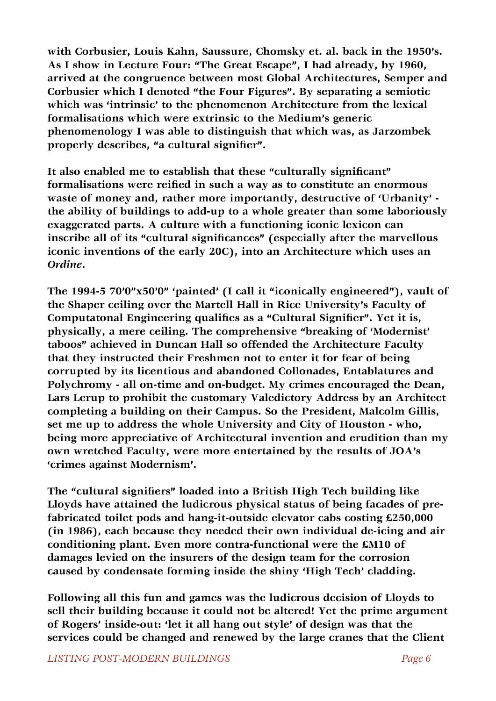**with Corbusier, Louis Kahn, Saussure, Chomsky et. al. back in the 1950's. As I show in Lecture Four: "The Great Escape", I had already, by 1960, arrived at the congruence between most Global Architectures, Semper and Corbusier which I denoted "the Four Figures". By separating a semiotic which was 'intrinsic' to the phenomenon Architecture from the lexical formalisations which were extrinsic to the Medium's generic phenomenology I was able to distinguish that which was, as Jarzombek**  properly describes, "a cultural signifier".

**It also enabled me to establish that these "culturally significant" formalisations were reified in such a way as to constitute an enormous waste of money and, rather more importantly, destructive of 'Urbanity' the ability of buildings to add-up to a whole greater than some laboriously exaggerated parts. A culture with a functioning iconic lexicon can inscribe all of its "cultural significances" (especially after the marvellous iconic inventions of the early 20C), into an Architecture which uses an**  *Ordine***.**

**The 1994-5 70'0"x50'0" 'painted' (I call it "iconically engineered"), vault of the Shaper ceiling over the Martell Hall in Rice University's Faculty of Computatonal Engineering qualifies as a "Cultural Signifier". Yet it is, physically, a mere ceiling. The comprehensive "breaking of 'Modernist' taboos" achieved in Duncan Hall so offended the Architecture Faculty that they instructed their Freshmen not to enter it for fear of being corrupted by its licentious and abandoned Collonades, Entablatures and Polychromy - all on-time and on-budget. My crimes encouraged the Dean, Lars Lerup to prohibit the customary Valedictory Address by an Architect completing a building on their Campus. So the President, Malcolm Gillis, set me up to address the whole University and City of Houston - who, being more appreciative of Architectural invention and erudition than my own wretched Faculty, were more entertained by the results of JOA's 'crimes against Modernism'.**

**The "cultural signifiers" loaded into a British High Tech building like Lloyds have attained the ludicrous physical status of being facades of prefabricated toilet pods and hang-it-outside elevator cabs costing £250,000 (in 1986), each because they needed their own individual de-icing and air conditioning plant. Even more contra-functional were the £M10 of damages levied on the insurers of the design team for the corrosion caused by condensate forming inside the shiny 'High Tech' cladding.** 

**Following all this fun and games was the ludicrous decision of Lloyds to sell their building because it could not be altered! Yet the prime argument of Rogers' inside-out: 'let it all hang out style' of design was that the services could be changed and renewed by the large cranes that the Client**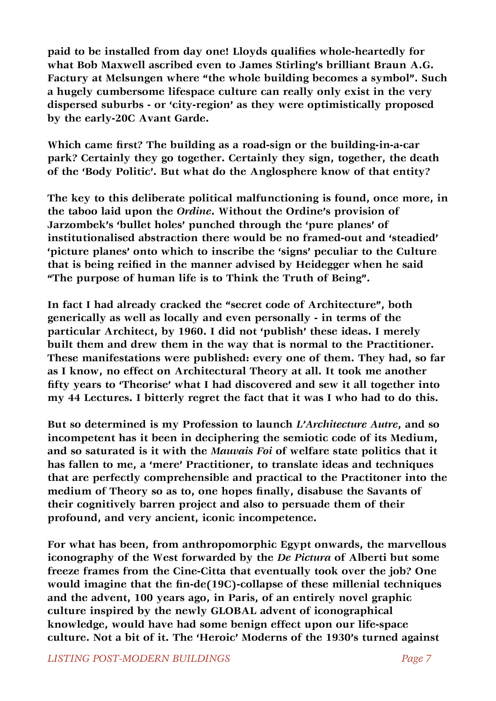**paid to be installed from day one! Lloyds qualifies whole-heartedly for what Bob Maxwell ascribed even to James Stirling's brilliant Braun A.G. Factury at Melsungen where "the whole building becomes a symbol". Such a hugely cumbersome lifespace culture can really only exist in the very dispersed suburbs - or 'city-region' as they were optimistically proposed by the early-20C Avant Garde.** 

**Which came first? The building as a road-sign or the building-in-a-car park? Certainly they go together. Certainly they sign, together, the death of the 'Body Politic'. But what do the Anglosphere know of that entity?**

**The key to this deliberate political malfunctioning is found, once more, in the taboo laid upon the** *Ordine***. Without the Ordine's provision of Jarzombek's 'bullet holes' punched through the 'pure planes' of institutionalised abstraction there would be no framed-out and 'steadied' 'picture planes' onto which to inscribe the 'signs' peculiar to the Culture that is being reified in the manner advised by Heidegger when he said "The purpose of human life is to Think the Truth of Being".**

**In fact I had already cracked the "secret code of Architecture", both generically as well as locally and even personally - in terms of the particular Architect, by 1960. I did not 'publish' these ideas. I merely built them and drew them in the way that is normal to the Practitioner. These manifestations were published: every one of them. They had, so far as I know, no effect on Architectural Theory at all. It took me another fifty years to 'Theorise' what I had discovered and sew it all together into my 44 Lectures. I bitterly regret the fact that it was I who had to do this.** 

**But so determined is my Profession to launch** *L'Architecture Autre***, and so incompetent has it been in deciphering the semiotic code of its Medium, and so saturated is it with the** *Mauvais Foi* **of welfare state politics that it has fallen to me, a 'mere' Practitioner, to translate ideas and techniques that are perfectly comprehensible and practical to the Practitoner into the medium of Theory so as to, one hopes finally, disabuse the Savants of their cognitively barren project and also to persuade them of their profound, and very ancient, iconic incompetence.** 

**For what has been, from anthropomorphic Egypt onwards, the marvellous iconography of the West forwarded by the** *De Pictura* **of Alberti but some freeze frames from the Cine-Citta that eventually took over the job? One would imagine that the fin-de(19C)-collapse of these millenial techniques and the advent, 100 years ago, in Paris, of an entirely novel graphic culture inspired by the newly GLOBAL advent of iconographical knowledge, would have had some benign effect upon our life-space culture. Not a bit of it. The 'Heroic' Moderns of the 1930's turned against**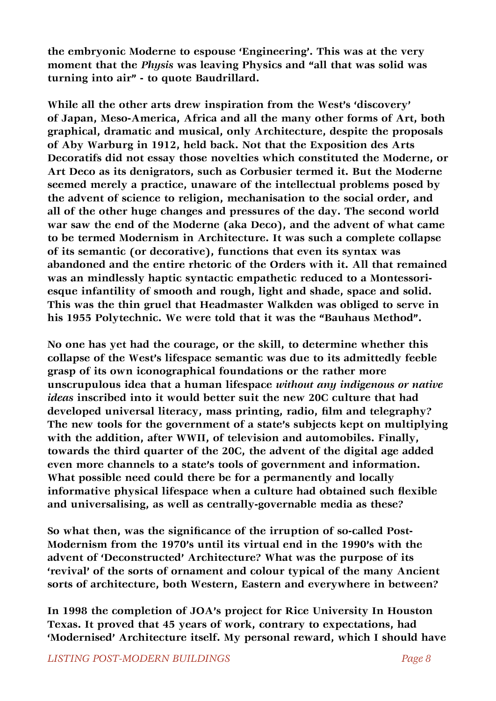**the embryonic Moderne to espouse 'Engineering'. This was at the very moment that the** *Physis* **was leaving Physics and "all that was solid was turning into air" - to quote Baudrillard.**

**While all the other arts drew inspiration from the West's 'discovery' of Japan, Meso-America, Africa and all the many other forms of Art, both graphical, dramatic and musical, only Architecture, despite the proposals of Aby Warburg in 1912, held back. Not that the Exposition des Arts Decoratifs did not essay those novelties which constituted the Moderne, or Art Deco as its denigrators, such as Corbusier termed it. But the Moderne seemed merely a practice, unaware of the intellectual problems posed by the advent of science to religion, mechanisation to the social order, and all of the other huge changes and pressures of the day. The second world war saw the end of the Moderne (aka Deco), and the advent of what came to be termed Modernism in Architecture. It was such a complete collapse of its semantic (or decorative), functions that even its syntax was abandoned and the entire rhetoric of the Orders with it. All that remained was an mindlessly haptic syntactic empathetic reduced to a Montessoriesque infantility of smooth and rough, light and shade, space and solid. This was the thin gruel that Headmaster Walkden was obliged to serve in his 1955 Polytechnic. We were told that it was the "Bauhaus Method".**

**No one has yet had the courage, or the skill, to determine whether this collapse of the West's lifespace semantic was due to its admittedly feeble grasp of its own iconographical foundations or the rather more unscrupulous idea that a human lifespace** *without any indigenous or native ideas* **inscribed into it would better suit the new 20C culture that had developed universal literacy, mass printing, radio, film and telegraphy? The new tools for the government of a state's subjects kept on multiplying with the addition, after WWII, of television and automobiles. Finally, towards the third quarter of the 20C, the advent of the digital age added even more channels to a state's tools of government and information. What possible need could there be for a permanently and locally informative physical lifespace when a culture had obtained such flexible and universalising, as well as centrally-governable media as these?**

**So what then, was the significance of the irruption of so-called Post-Modernism from the 1970's until its virtual end in the 1990's with the advent of 'Deconstructed' Architecture? What was the purpose of its 'revival' of the sorts of ornament and colour typical of the many Ancient sorts of architecture, both Western, Eastern and everywhere in between?**

**In 1998 the completion of JOA's project for Rice University In Houston Texas. It proved that 45 years of work, contrary to expectations, had 'Modernised' Architecture itself. My personal reward, which I should have**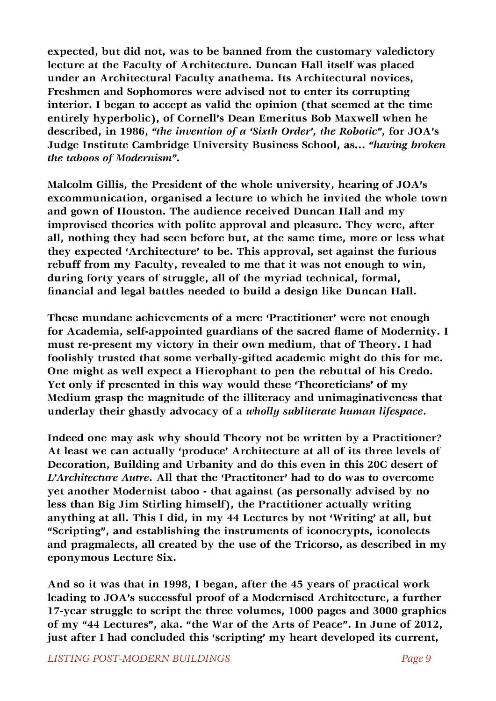**expected, but did not, was to be banned from the customary valedictory lecture at the Faculty of Architecture. Duncan Hall itself was placed under an Architectural Faculty anathema. Its Architectural novices, Freshmen and Sophomores were advised not to enter its corrupting interior. I began to accept as valid the opinion (that seemed at the time entirely hyperbolic), of Cornell's Dean Emeritus Bob Maxwell when he described, in 1986,** *"the invention of a 'Sixth Order', the Robotic"***, for JOA's Judge Institute Cambridge University Business School, as...** *"having broken the taboos of Modernism"***.**

**Malcolm Gillis, the President of the whole university, hearing of JOA's excommunication, organised a lecture to which he invited the whole town and gown of Houston. The audience received Duncan Hall and my improvised theories with polite approval and pleasure. They were, after all, nothing they had seen before but, at the same time, more or less what they expected 'Architecture' to be. This approval, set against the furious rebuff from my Faculty, revealed to me that it was not enough to win, during forty years of struggle, all of the myriad technical, formal, financial and legal battles needed to build a design like Duncan Hall.** 

**These mundane achievements of a mere 'Practitioner' were not enough for Academia, self-appointed guardians of the sacred flame of Modernity. I must re-present my victory in their own medium, that of Theory. I had foolishly trusted that some verbally-gifted academic might do this for me. One might as well expect a Hierophant to pen the rebuttal of his Credo. Yet only if presented in this way would these 'Theoreticians' of my Medium grasp the magnitude of the illiteracy and unimaginativeness that underlay their ghastly advocacy of a** *wholly subliterate human lifespace.*

**Indeed one may ask why should Theory not be written by a Practitioner? At least we can actually 'produce' Architecture at all of its three levels of Decoration, Building and Urbanity and do this even in this 20C desert of**  *L'Architecture Autre***. All that the 'Practitoner' had to do was to overcome yet another Modernist taboo - that against (as personally advised by no less than Big Jim Stirling himself), the Practitioner actually writing anything at all. This I did, in my 44 Lectures by not 'Writing' at all, but "Scripting", and establishing the instruments of iconocrypts, iconolects and pragmalects, all created by the use of the Tricorso, as described in my eponymous Lecture Six.**

**And so it was that in 1998, I began, after the 45 years of practical work leading to JOA's successful proof of a Modernised Architecture, a further 17-year struggle to script the three volumes, 1000 pages and 3000 graphics of my "44 Lectures", aka. "the War of the Arts of Peace". In June of 2012, just after I had concluded this 'scripting' my heart developed its current,**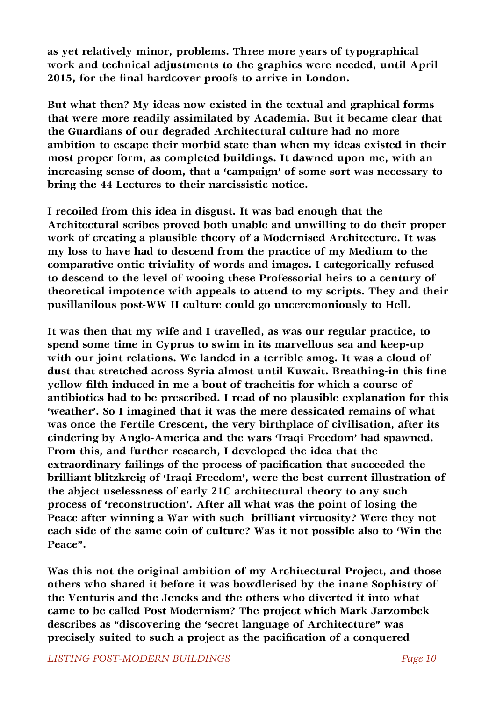**as yet relatively minor, problems. Three more years of typographical work and technical adjustments to the graphics were needed, until April 2015, for the final hardcover proofs to arrive in London.**

**But what then? My ideas now existed in the textual and graphical forms that were more readily assimilated by Academia. But it became clear that the Guardians of our degraded Architectural culture had no more ambition to escape their morbid state than when my ideas existed in their most proper form, as completed buildings. It dawned upon me, with an increasing sense of doom, that a 'campaign' of some sort was necessary to bring the 44 Lectures to their narcissistic notice.**

**I recoiled from this idea in disgust. It was bad enough that the Architectural scribes proved both unable and unwilling to do their proper work of creating a plausible theory of a Modernised Architecture. It was my loss to have had to descend from the practice of my Medium to the comparative ontic triviality of words and images. I categorically refused to descend to the level of wooing these Professorial heirs to a century of theoretical impotence with appeals to attend to my scripts. They and their pusillanilous post-WW II culture could go unceremoniously to Hell.**

**It was then that my wife and I travelled, as was our regular practice, to spend some time in Cyprus to swim in its marvellous sea and keep-up with our joint relations. We landed in a terrible smog. It was a cloud of dust that stretched across Syria almost until Kuwait. Breathing-in this fine yellow filth induced in me a bout of tracheitis for which a course of antibiotics had to be prescribed. I read of no plausible explanation for this 'weather'. So I imagined that it was the mere dessicated remains of what was once the Fertile Crescent, the very birthplace of civilisation, after its cindering by Anglo-America and the wars 'Iraqi Freedom' had spawned. From this, and further research, I developed the idea that the extraordinary failings of the process of pacification that succeeded the brilliant blitzkreig of 'Iraqi Freedom', were the best current illustration of the abject uselessness of early 21C architectural theory to any such process of 'reconstruction'. After all what was the point of losing the Peace after winning a War with such brilliant virtuosity? Were they not each side of the same coin of culture? Was it not possible also to 'Win the Peace".**

**Was this not the original ambition of my Architectural Project, and those others who shared it before it was bowdlerised by the inane Sophistry of the Venturis and the Jencks and the others who diverted it into what came to be called Post Modernism? The project which Mark Jarzombek describes as "discovering the 'secret language of Architecture" was**  precisely suited to such a project as the pacification of a conquered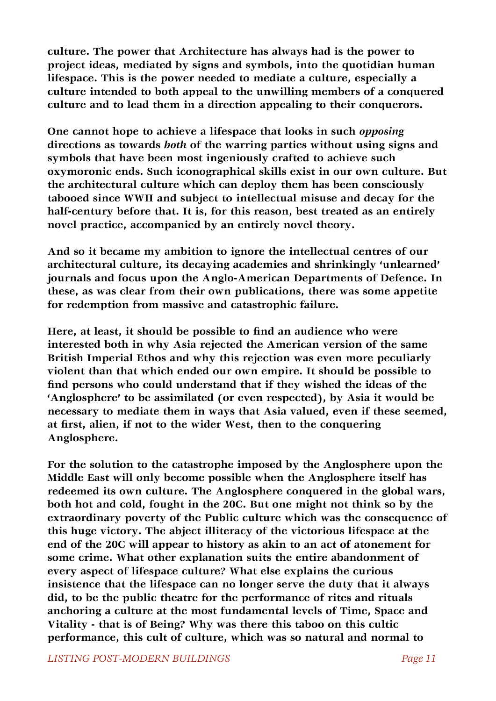**culture. The power that Architecture has always had is the power to project ideas, mediated by signs and symbols, into the quotidian human lifespace. This is the power needed to mediate a culture, especially a culture intended to both appeal to the unwilling members of a conquered culture and to lead them in a direction appealing to their conquerors.** 

**One cannot hope to achieve a lifespace that looks in such** *opposing* **directions as towards** *both* **of the warring parties without using signs and symbols that have been most ingeniously crafted to achieve such oxymoronic ends. Such iconographical skills exist in our own culture. But the architectural culture which can deploy them has been consciously tabooed since WWII and subject to intellectual misuse and decay for the half-century before that. It is, for this reason, best treated as an entirely novel practice, accompanied by an entirely novel theory.**

**And so it became my ambition to ignore the intellectual centres of our architectural culture, its decaying academies and shrinkingly 'unlearned' journals and focus upon the Anglo-American Departments of Defence. In these, as was clear from their own publications, there was some appetite for redemption from massive and catastrophic failure.**

**Here, at least, it should be possible to find an audience who were interested both in why Asia rejected the American version of the same British Imperial Ethos and why this rejection was even more peculiarly violent than that which ended our own empire. It should be possible to find persons who could understand that if they wished the ideas of the 'Anglosphere' to be assimilated (or even respected), by Asia it would be necessary to mediate them in ways that Asia valued, even if these seemed, at first, alien, if not to the wider West, then to the conquering Anglosphere.** 

**For the solution to the catastrophe imposed by the Anglosphere upon the Middle East will only become possible when the Anglosphere itself has redeemed its own culture. The Anglosphere conquered in the global wars, both hot and cold, fought in the 20C. But one might not think so by the extraordinary poverty of the Public culture which was the consequence of this huge victory. The abject illiteracy of the victorious lifespace at the end of the 20C will appear to history as akin to an act of atonement for some crime. What other explanation suits the entire abandonment of every aspect of lifespace culture? What else explains the curious insistence that the lifespace can no longer serve the duty that it always did, to be the public theatre for the performance of rites and rituals anchoring a culture at the most fundamental levels of Time, Space and Vitality - that is of Being? Why was there this taboo on this cultic performance, this cult of culture, which was so natural and normal to** 

*LISTING POST-MODERN BUILDINGS**Page 11*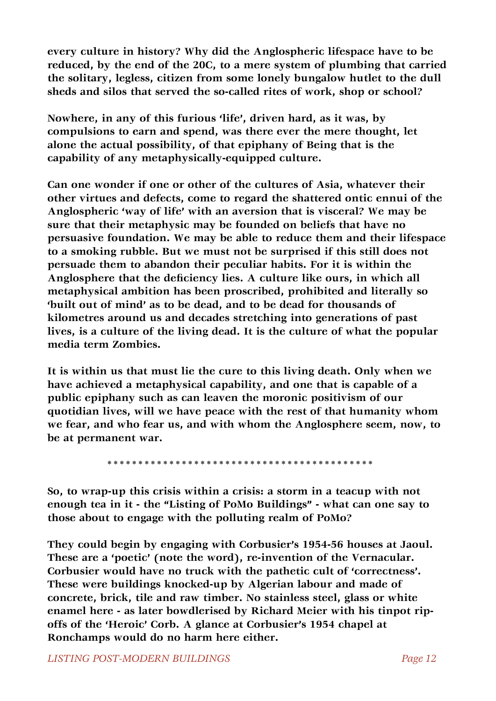**every culture in history? Why did the Anglospheric lifespace have to be reduced, by the end of the 20C, to a mere system of plumbing that carried the solitary, legless, citizen from some lonely bungalow hutlet to the dull sheds and silos that served the so-called rites of work, shop or school?**

**Nowhere, in any of this furious 'life', driven hard, as it was, by compulsions to earn and spend, was there ever the mere thought, let alone the actual possibility, of that epiphany of Being that is the capability of any metaphysically-equipped culture.**

**Can one wonder if one or other of the cultures of Asia, whatever their other virtues and defects, come to regard the shattered ontic ennui of the Anglospheric 'way of life' with an aversion that is visceral? We may be sure that their metaphysic may be founded on beliefs that have no persuasive foundation. We may be able to reduce them and their lifespace to a smoking rubble. But we must not be surprised if this still does not persuade them to abandon their peculiar habits. For it is within the**  Anglosphere that the deficiency lies. A culture like ours, in which all **metaphysical ambition has been proscribed, prohibited and literally so 'built out of mind' as to be dead, and to be dead for thousands of kilometres around us and decades stretching into generations of past lives, is a culture of the living dead. It is the culture of what the popular media term Zombies.**

**It is within us that must lie the cure to this living death. Only when we have achieved a metaphysical capability, and one that is capable of a public epiphany such as can leaven the moronic positivism of our quotidian lives, will we have peace with the rest of that humanity whom we fear, and who fear us, and with whom the Anglosphere seem, now, to be at permanent war.**

 **\*\*\*\*\*\*\*\*\*\*\*\*\*\*\*\*\*\*\*\*\*\*\*\*\*\*\*\*\*\*\*\*\*\*\*\*\*\*\*\*\*\*\***

**So, to wrap-up this crisis within a crisis: a storm in a teacup with not enough tea in it - the "Listing of PoMo Buildings" - what can one say to those about to engage with the polluting realm of PoMo?** 

**They could begin by engaging with Corbusier's 1954-56 houses at Jaoul. These are a 'poetic' (note the word), re-invention of the Vernacular. Corbusier would have no truck with the pathetic cult of 'correctness'. These were buildings knocked-up by Algerian labour and made of concrete, brick, tile and raw timber. No stainless steel, glass or white enamel here - as later bowdlerised by Richard Meier with his tinpot ripoffs of the 'Heroic' Corb. A glance at Corbusier's 1954 chapel at Ronchamps would do no harm here either.**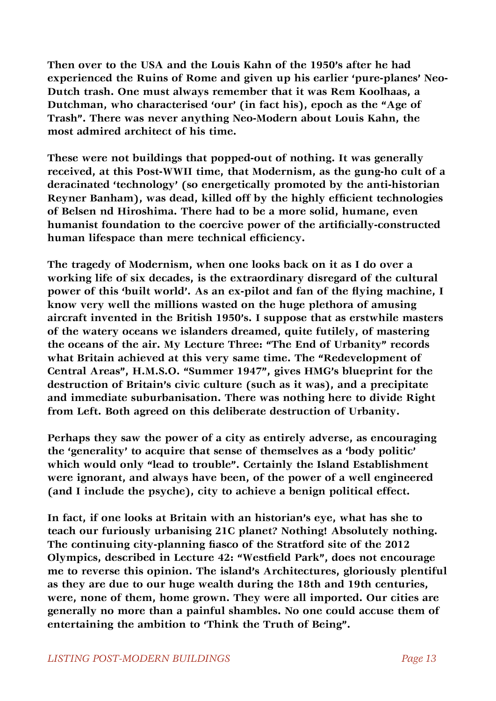**Then over to the USA and the Louis Kahn of the 1950's after he had experienced the Ruins of Rome and given up his earlier 'pure-planes' Neo-Dutch trash. One must always remember that it was Rem Koolhaas, a Dutchman, who characterised 'our' (in fact his), epoch as the "Age of Trash". There was never anything Neo-Modern about Louis Kahn, the most admired architect of his time.**

**These were not buildings that popped-out of nothing. It was generally received, at this Post-WWII time, that Modernism, as the gung-ho cult of a deracinated 'technology' (so energetically promoted by the anti-historian Reyner Banham), was dead, killed off by the highly efficient technologies of Belsen nd Hiroshima. There had to be a more solid, humane, even humanist foundation to the coercive power of the artificially-constructed**  human lifespace than mere technical efficiency.

**The tragedy of Modernism, when one looks back on it as I do over a working life of six decades, is the extraordinary disregard of the cultural power of this 'built world'. As an ex-pilot and fan of the flying machine, I know very well the millions wasted on the huge plethora of amusing aircraft invented in the British 1950's. I suppose that as erstwhile masters of the watery oceans we islanders dreamed, quite futilely, of mastering the oceans of the air. My Lecture Three: "The End of Urbanity" records what Britain achieved at this very same time. The "Redevelopment of Central Areas", H.M.S.O. "Summer 1947", gives HMG's blueprint for the destruction of Britain's civic culture (such as it was), and a precipitate and immediate suburbanisation. There was nothing here to divide Right from Left. Both agreed on this deliberate destruction of Urbanity.** 

**Perhaps they saw the power of a city as entirely adverse, as encouraging the 'generality' to acquire that sense of themselves as a 'body politic' which would only "lead to trouble". Certainly the Island Establishment were ignorant, and always have been, of the power of a well engineered (and I include the psyche), city to achieve a benign political effect.** 

**In fact, if one looks at Britain with an historian's eye, what has she to teach our furiously urbanising 21C planet? Nothing! Absolutely nothing. The continuing city-planning fiasco of the Stratford site of the 2012 Olympics, described in Lecture 42: "Westfield Park", does not encourage me to reverse this opinion. The island's Architectures, gloriously plentiful as they are due to our huge wealth during the 18th and 19th centuries, were, none of them, home grown. They were all imported. Our cities are generally no more than a painful shambles. No one could accuse them of entertaining the ambition to 'Think the Truth of Being".**